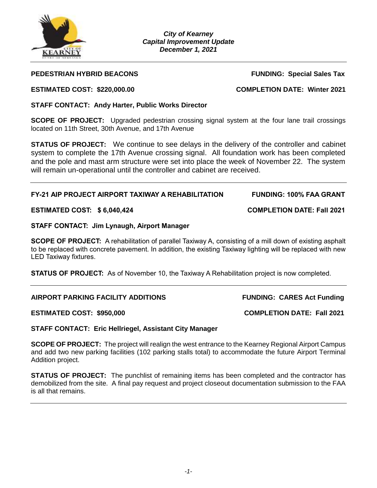

*City of Kearney Capital Improvement Update December 1, 2021*

# **PEDESTRIAN HYBRID BEACONS FUNDING: Special Sales Tax**

**SCOPE OF PROJECT:** Upgraded pedestrian crossing signal system at the four lane trail crossings located on 11th Street, 30th Avenue, and 17th Avenue

**STATUS OF PROJECT:** We continue to see delays in the delivery of the controller and cabinet system to complete the 17th Avenue crossing signal. All foundation work has been completed and the pole and mast arm structure were set into place the week of November 22. The system will remain un-operational until the controller and cabinet are received.

# **FY-21 AIP PROJECT AIRPORT TAXIWAY A REHABILITATION FUNDING: 100% FAA GRANT**

# **ESTIMATED COST: \$ 6,040,424 COMPLETION DATE: Fall 2021**

# **STAFF CONTACT: Jim Lynaugh, Airport Manager**

**SCOPE OF PROJECT:** A rehabilitation of parallel Taxiway A, consisting of a mill down of existing asphalt to be replaced with concrete pavement. In addition, the existing Taxiway lighting will be replaced with new LED Taxiway fixtures.

**STATUS OF PROJECT:** As of November 10, the Taxiway A Rehabilitation project is now completed.

# **AIRPORT PARKING FACILITY ADDITIONS FUNDING: CARES Act Funding**

### **ESTIMATED COST: \$950,000 COMPLETION DATE: Fall 2021**

**STAFF CONTACT: Eric Hellriegel, Assistant City Manager**

**SCOPE OF PROJECT:** The project will realign the west entrance to the Kearney Regional Airport Campus and add two new parking facilities (102 parking stalls total) to accommodate the future Airport Terminal Addition project.

**STATUS OF PROJECT:** The punchlist of remaining items has been completed and the contractor has demobilized from the site. A final pay request and project closeout documentation submission to the FAA is all that remains.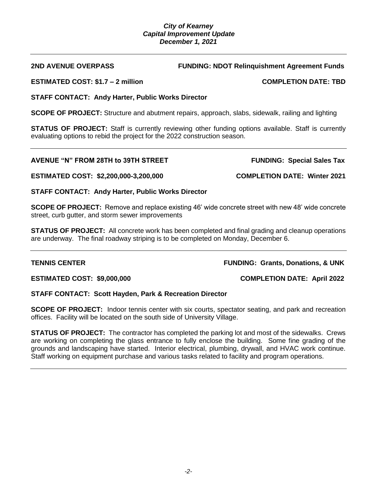### *City of Kearney Capital Improvement Update December 1, 2021*

# **ESTIMATED COST: \$1.7 – 2 million COMPLETION DATE: TBD**

# **STAFF CONTACT: Andy Harter, Public Works Director**

**SCOPE OF PROJECT:** Structure and abutment repairs, approach, slabs, sidewalk, railing and lighting

**STATUS OF PROJECT:** Staff is currently reviewing other funding options available. Staff is currently evaluating options to rebid the project for the 2022 construction season.

# AVENUE "N" FROM 28TH to 39TH STREET FUNDING: Special Sales Tax

**ESTIMATED COST: \$2,200,000-3,200,000 COMPLETION DATE: Winter 2021**

# **STAFF CONTACT: Andy Harter, Public Works Director**

**SCOPE OF PROJECT:** Remove and replace existing 46' wide concrete street with new 48' wide concrete street, curb gutter, and storm sewer improvements

**STATUS OF PROJECT:** All concrete work has been completed and final grading and cleanup operations are underway. The final roadway striping is to be completed on Monday, December 6.

### **TENNIS CENTER FUNDING: Grants, Donations, & UNK**

**ESTIMATED COST: \$9,000,000 COMPLETION DATE: April 2022**

### **STAFF CONTACT: Scott Hayden, Park & Recreation Director**

**SCOPE OF PROJECT:** Indoor tennis center with six courts, spectator seating, and park and recreation offices. Facility will be located on the south side of University Village.

**STATUS OF PROJECT:** The contractor has completed the parking lot and most of the sidewalks. Crews are working on completing the glass entrance to fully enclose the building. Some fine grading of the grounds and landscaping have started. Interior electrical, plumbing, drywall, and HVAC work continue. Staff working on equipment purchase and various tasks related to facility and program operations.

**2ND AVENUE OVERPASS FUNDING: NDOT Relinquishment Agreement Funds**